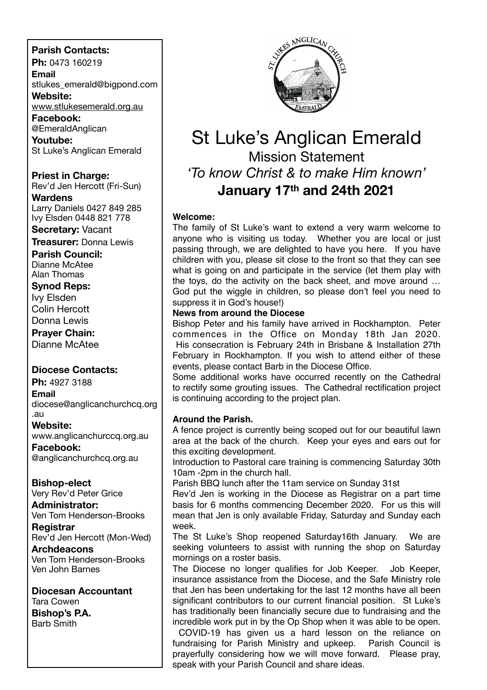# **Parish Contacts:**

**Ph:** 0473 160219

**Email** stlukes\_emerald@bigpond.com

**Website:** [www.stlukesemerald.org.au](http://www.stlukesemerald.org.au)

**Facebook:** @EmeraldAnglican

**Youtube:** St Luke's Anglican Emerald

**Priest in Charge:** Rev'd Jen Hercott (Fri-Sun) **Wardens**

Larry Daniels 0427 849 285 Ivy Elsden 0448 821 778

**Secretary:** Vacant

**Treasurer:** Donna Lewis

**Parish Council:** Dianne McAtee Alan Thomas

**Synod Reps:**

Ivy Elsden Colin Hercott

Donna Lewis

**Prayer Chain:**

Dianne McAtee

# **Diocese Contacts:**

**Ph:** 4927 3188 **Email** diocese@anglicanchurchcq.org .au

# **Website:**

www.anglicanchurccq.org.au

**Facebook:** @anglicanchurchcq.org.au

# **Bishop-elect**

Very Rev'd Peter Grice

#### **Administrator:** Ven Tom Henderson-Brooks

**Registrar** Rev'd Jen Hercott (Mon-Wed)

**Archdeacons** Ven Tom Henderson-Brooks Ven John Barnes

**Diocesan Accountant** Tara Cowen **Bishop's P.A.** Barb Smith



# St Luke's Anglican Emerald Mission Statement *'To know Christ & to make Him known'* **January 17th and 24th 2021**

# **Welcome:**

The family of St Luke's want to extend a very warm welcome to anyone who is visiting us today. Whether you are local or just passing through, we are delighted to have you here. If you have children with you, please sit close to the front so that they can see what is going on and participate in the service (let them play with the toys, do the activity on the back sheet, and move around … God put the wiggle in children, so please don't feel you need to suppress it in God's house!)

# **News from around the Diocese**

Bishop Peter and his family have arrived in Rockhampton. Peter commences in the Office on Monday 18th Jan 2020. His consecration is February 24th in Brisbane & Installation 27th February in Rockhampton. If you wish to attend either of these events, please contact Barb in the Diocese Office.

Some additional works have occurred recently on the Cathedral to rectify some grouting issues. The Cathedral rectification project is continuing according to the project plan.

# **Around the Parish.**

A fence project is currently being scoped out for our beautiful lawn area at the back of the church. Keep your eyes and ears out for this exciting development.

Introduction to Pastoral care training is commencing Saturday 30th 10am -2pm in the church hall.

Parish BBQ lunch after the 11am service on Sunday 31st

Rev'd Jen is working in the Diocese as Registrar on a part time basis for 6 months commencing December 2020. For us this will mean that Jen is only available Friday, Saturday and Sunday each week.

The St Luke's Shop reopened Saturday16th January. We are seeking volunteers to assist with running the shop on Saturday mornings on a roster basis.

The Diocese no longer qualifies for Job Keeper. Job Keeper, insurance assistance from the Diocese, and the Safe Ministry role that Jen has been undertaking for the last 12 months have all been significant contributors to our current financial position. St Luke's has traditionally been financially secure due to fundraising and the incredible work put in by the Op Shop when it was able to be open.

COVID-19 has given us a hard lesson on the reliance on fundraising for Parish Ministry and upkeep. Parish Council is prayerfully considering how we will move forward. Please pray, speak with your Parish Council and share ideas.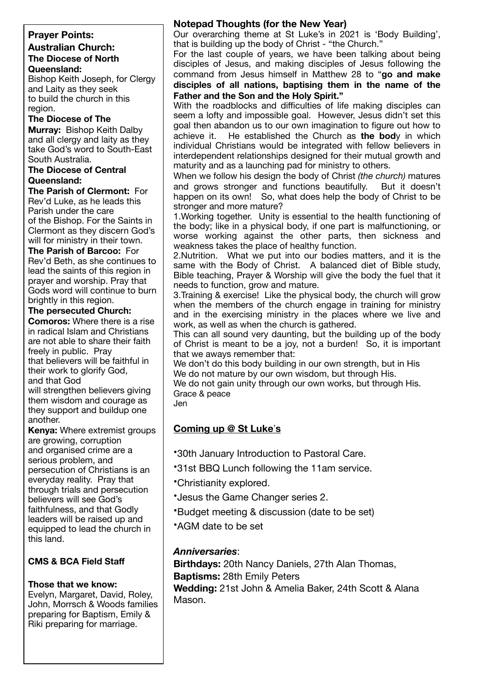### **Prayer Points: Australian Church: The Diocese of North Queensland:**

Bishop Keith Joseph, for Clergy and Laity as they seek to build the church in this region.

# **The Diocese of The**

**Murray:** Bishop Keith Dalby and all clergy and laity as they take God's word to South-East South Australia.

#### **The Diocese of Central Queensland:**

**The Parish of Clermont:** For Rev'd Luke, as he leads this Parish under the care of the Bishop. For the Saints in Clermont as they discern God's will for ministry in their town.

**The Parish of Barcoo:** For Rev'd Beth, as she continues to lead the saints of this region in prayer and worship. Pray that Gods word will continue to burn brightly in this region.

# **The persecuted Church:**

**Comoros:** Where there is a rise in radical Islam and Christians are not able to share their faith freely in public. Pray that believers will be faithful in their work to glorify God, and that God will strengthen believers giving

them wisdom and courage as they support and buildup one another.

**Kenya:** Where extremist groups are growing, corruption and organised crime are a serious problem, and persecution of Christians is an everyday reality. Pray that through trials and persecution believers will see God's faithfulness, and that Godly leaders will be raised up and equipped to lead the church in this land.

# **CMS & BCA Field Staff**

# **Those that we know:**

Evelyn, Margaret, David, Roley, John, Morrsch & Woods families preparing for Baptism, Emily & Riki preparing for marriage.

# **Notepad Thoughts (for the New Year)**

Our overarching theme at St Luke's in 2021 is 'Body Building', that is building up the body of Christ - "the Church."

For the last couple of years, we have been talking about being disciples of Jesus, and making disciples of Jesus following the command from Jesus himself in Matthew 28 to "**go and make disciples of all nations, baptising them in the name of the Father and the Son and the Holy Spirit."**

With the roadblocks and difficulties of life making disciples can seem a lofty and impossible goal. However, Jesus didn't set this goal then abandon us to our own imagination to figure out how to achieve it. He established the Church as **the bod**y in which individual Christians would be integrated with fellow believers in interdependent relationships designed for their mutual growth and maturity and as a launching pad for ministry to others.

When we follow his design the body of Christ *(the church)* matures and grows stronger and functions beautifully. But it doesn't happen on its own! So, what does help the body of Christ to be stronger and more mature?

1.Working together. Unity is essential to the health functioning of the body; like in a physical body, if one part is malfunctioning, or worse working against the other parts, then sickness and weakness takes the place of healthy function.

2.Nutrition. What we put into our bodies matters, and it is the same with the Body of Christ. A balanced diet of Bible study, Bible teaching, Prayer & Worship will give the body the fuel that it needs to function, grow and mature.

3.Training & exercise! Like the physical body, the church will grow when the members of the church engage in training for ministry and in the exercising ministry in the places where we live and work, as well as when the church is gathered.

This can all sound very daunting, but the building up of the body of Christ is meant to be a joy, not a burden! So, it is important that we aways remember that:

We don't do this body building in our own strength, but in His We do not mature by our own wisdom, but through His.

We do not gain unity through our own works, but through His. Grace & peace

Jen

# **Coming up @ St Luke**'**s**

- •30th January Introduction to Pastoral Care.
- •31st BBQ Lunch following the 11am service.
- •Christianity explored.
- •Jesus the Game Changer series 2.
- •Budget meeting & discussion (date to be set)
- •AGM date to be set

# *Anniversaries*:

**Birthdays:** 20th Nancy Daniels, 27th Alan Thomas, **Baptisms:** 28th Emily Peters

**Wedding:** 21st John & Amelia Baker, 24th Scott & Alana Mason.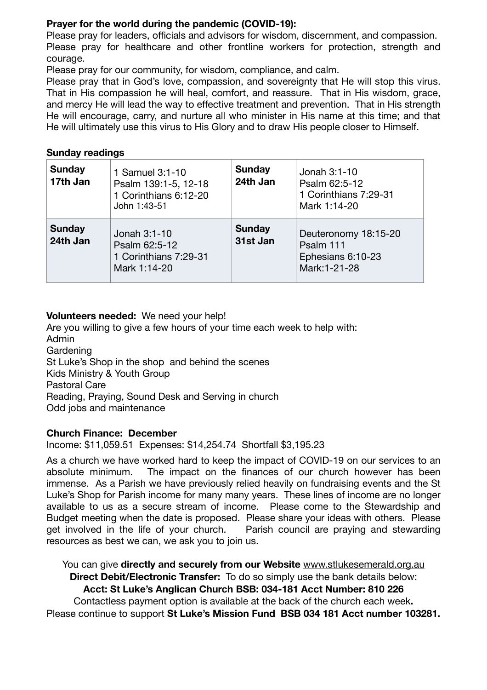# **Prayer for the world during the pandemic (COVID-19):**

Please pray for leaders, officials and advisors for wisdom, discernment, and compassion. Please pray for healthcare and other frontline workers for protection, strength and courage.

Please pray for our community, for wisdom, compliance, and calm.

Please pray that in God's love, compassion, and sovereignty that He will stop this virus. That in His compassion he will heal, comfort, and reassure. That in His wisdom, grace, and mercy He will lead the way to effective treatment and prevention. That in His strength He will encourage, carry, and nurture all who minister in His name at this time; and that He will ultimately use this virus to His Glory and to draw His people closer to Himself.

# **Sunday readings**

| <b>Sunday</b><br>17th Jan | 1 Samuel 3:1-10<br>Psalm 139:1-5, 12-18<br>1 Corinthians 6:12-20<br>John 1:43-51 | <b>Sunday</b><br>24th Jan | Jonah 3:1-10<br>Psalm 62:5-12<br>1 Corinthians 7:29-31<br>Mark 1:14-20  |
|---------------------------|----------------------------------------------------------------------------------|---------------------------|-------------------------------------------------------------------------|
| <b>Sunday</b><br>24th Jan | Jonah 3:1-10<br>Psalm 62:5-12<br>1 Corinthians 7:29-31<br>Mark 1:14-20           | <b>Sunday</b><br>31st Jan | Deuteronomy 18:15-20<br>Psalm 111<br>Ephesians 6:10-23<br>Mark: 1-21-28 |

# **Volunteers needed:** We need your help!

Are you willing to give a few hours of your time each week to help with: Admin Gardening St Luke's Shop in the shop and behind the scenes Kids Ministry & Youth Group Pastoral Care Reading, Praying, Sound Desk and Serving in church Odd jobs and maintenance

# **Church Finance: December**

Income: \$11,059.51 Expenses: \$14,254.74 Shortfall \$3,195.23

As a church we have worked hard to keep the impact of COVID-19 on our services to an absolute minimum. The impact on the finances of our church however has been immense. As a Parish we have previously relied heavily on fundraising events and the St Luke's Shop for Parish income for many many years. These lines of income are no longer available to us as a secure stream of income. Please come to the Stewardship and Budget meeting when the date is proposed. Please share your ideas with others. Please get involved in the life of your church. Parish council are praying and stewarding resources as best we can, we ask you to join us.

You can give **directly and securely from our Website** [www.stlukesemerald.org.au](http://www.stlukesemerald.org.au) **Direct Debit/Electronic Transfer:** To do so simply use the bank details below: **Acct: St Luke's Anglican Church BSB: 034-181 Acct Number: 810 226** Contactless payment option is available at the back of the church each week**.** Please continue to support **St Luke's Mission Fund BSB 034 181 Acct number 103281.**